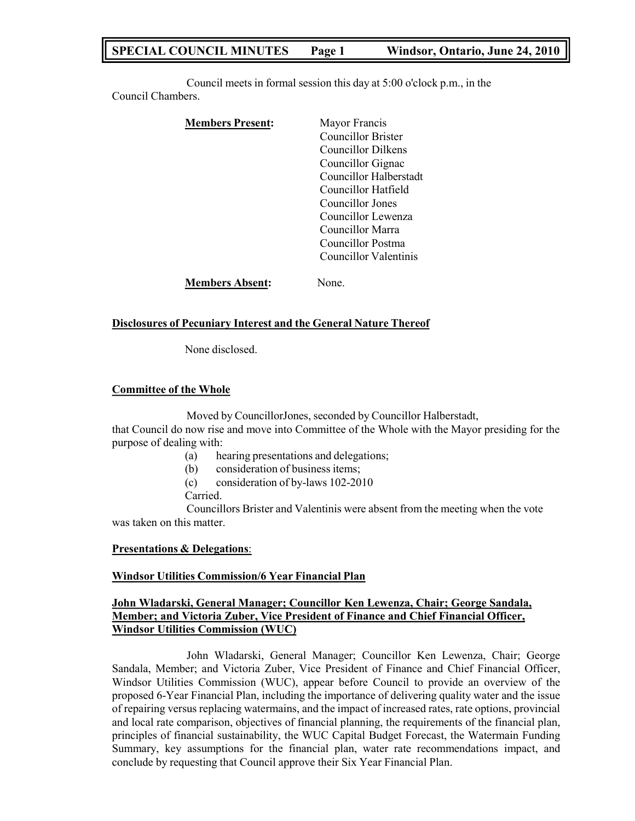# **SPECIAL COUNCIL MINUTES Page 1 Windsor, Ontario, June 24, 2010**

Council meets in formal session this day at 5:00 o'clock p.m., in the Council Chambers.

| <b>Members Present:</b> | Mayor Francis          |
|-------------------------|------------------------|
|                         | Councillor Brister     |
|                         | Councillor Dilkens     |
|                         | Councillor Gignac      |
|                         | Councillor Halberstadt |
|                         | Councillor Hatfield    |
|                         | Councillor Jones       |
|                         | Councillor Lewenza     |
|                         | Councillor Marra       |
|                         | Councillor Postma      |
|                         | Councillor Valentinis  |
| <b>Members Absent:</b>  | Jone                   |

## **Disclosures of Pecuniary Interest and the General Nature Thereof**

None disclosed.

## **Committee of the Whole**

Moved by CouncillorJones, seconded by Councillor Halberstadt, that Council do now rise and move into Committee of the Whole with the Mayor presiding for the purpose of dealing with:

- (a) hearing presentations and delegations;
- (b) consideration of business items;
- (c) consideration of by-laws 102-2010

Carried.

Councillors Brister and Valentinis were absent from the meeting when the vote was taken on this matter.

# **Presentations & Delegations**:

# **Windsor Utilities Commission/6 Year Financial Plan**

# **John Wladarski, General Manager; Councillor Ken Lewenza, Chair; George Sandala, Member; and Victoria Zuber, Vice President of Finance and Chief Financial Officer, Windsor Utilities Commission (WUC)**

John Wladarski, General Manager; Councillor Ken Lewenza, Chair; George Sandala, Member; and Victoria Zuber, Vice President of Finance and Chief Financial Officer, Windsor Utilities Commission (WUC), appear before Council to provide an overview of the proposed 6-Year Financial Plan, including the importance of delivering quality water and the issue of repairing versus replacing watermains, and the impact of increased rates, rate options, provincial and local rate comparison, objectives of financial planning, the requirements of the financial plan, principles of financial sustainability, the WUC Capital Budget Forecast, the Watermain Funding Summary, key assumptions for the financial plan, water rate recommendations impact, and conclude by requesting that Council approve their Six Year Financial Plan.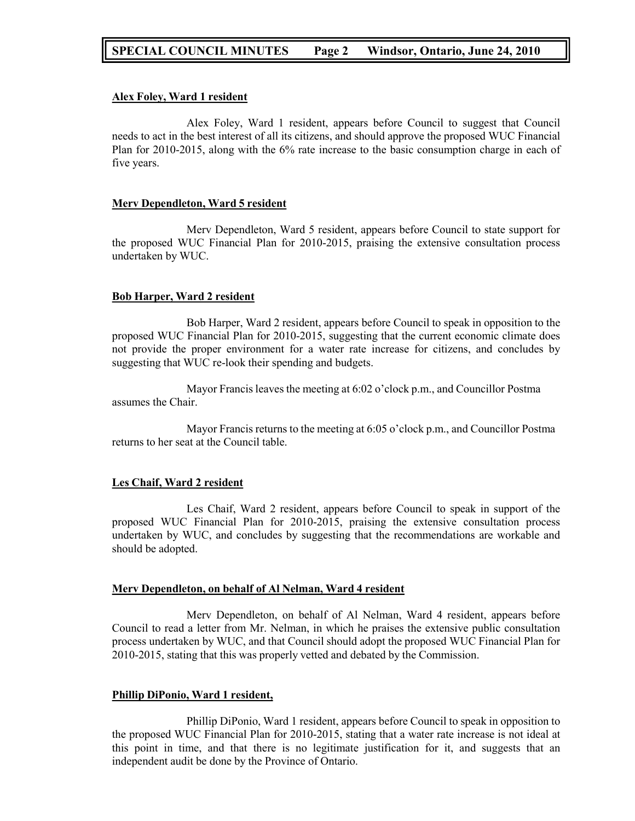## **Alex Foley, Ward 1 resident**

Alex Foley, Ward 1 resident, appears before Council to suggest that Council needs to act in the best interest of all its citizens, and should approve the proposed WUC Financial Plan for 2010-2015, along with the 6% rate increase to the basic consumption charge in each of five years.

## **Merv Dependleton, Ward 5 resident**

Merv Dependleton, Ward 5 resident, appears before Council to state support for the proposed WUC Financial Plan for 2010-2015, praising the extensive consultation process undertaken by WUC.

# **Bob Harper, Ward 2 resident**

Bob Harper, Ward 2 resident, appears before Council to speak in opposition to the proposed WUC Financial Plan for 2010-2015, suggesting that the current economic climate does not provide the proper environment for a water rate increase for citizens, and concludes by suggesting that WUC re-look their spending and budgets.

Mayor Francis leaves the meeting at 6:02 o'clock p.m., and Councillor Postma assumes the Chair.

Mayor Francis returns to the meeting at 6:05 o'clock p.m., and Councillor Postma returns to her seat at the Council table.

# **Les Chaif, Ward 2 resident**

Les Chaif, Ward 2 resident, appears before Council to speak in support of the proposed WUC Financial Plan for 2010-2015, praising the extensive consultation process undertaken by WUC, and concludes by suggesting that the recommendations are workable and should be adopted.

#### **Merv Dependleton, on behalf of Al Nelman, Ward 4 resident**

Merv Dependleton, on behalf of Al Nelman, Ward 4 resident, appears before Council to read a letter from Mr. Nelman, in which he praises the extensive public consultation process undertaken by WUC, and that Council should adopt the proposed WUC Financial Plan for 2010-2015, stating that this was properly vetted and debated by the Commission.

#### **Phillip DiPonio, Ward 1 resident,**

Phillip DiPonio, Ward 1 resident, appears before Council to speak in opposition to the proposed WUC Financial Plan for 2010-2015, stating that a water rate increase is not ideal at this point in time, and that there is no legitimate justification for it, and suggests that an independent audit be done by the Province of Ontario.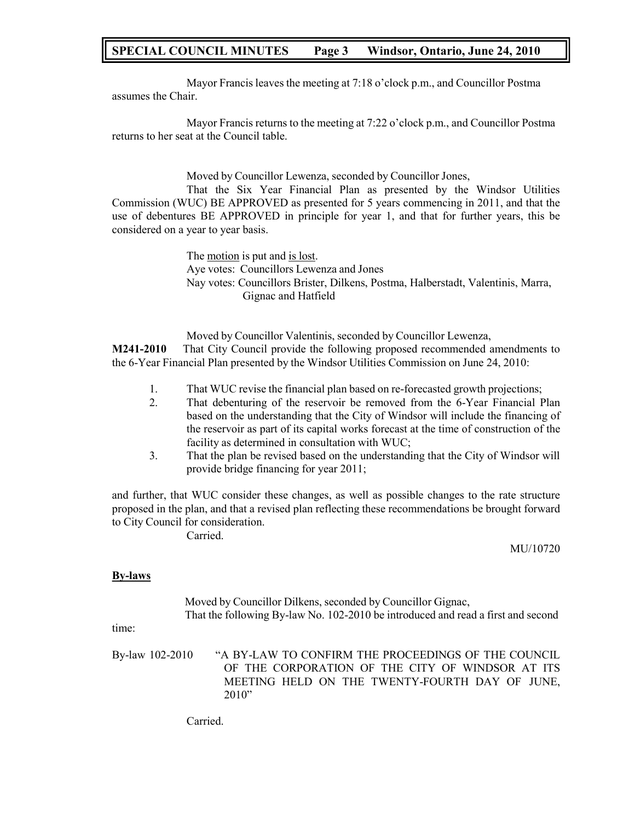# **SPECIAL COUNCIL MINUTES Page 3 Windsor, Ontario, June 24, 2010**

Mayor Francis leaves the meeting at 7:18 o'clock p.m., and Councillor Postma assumes the Chair.

Mayor Francis returns to the meeting at 7:22 o'clock p.m., and Councillor Postma returns to her seat at the Council table.

Moved by Councillor Lewenza, seconded by Councillor Jones,

That the Six Year Financial Plan as presented by the Windsor Utilities Commission (WUC) BE APPROVED as presented for 5 years commencing in 2011, and that the use of debentures BE APPROVED in principle for year 1, and that for further years, this be considered on a year to year basis.

> The motion is put and is lost. Aye votes: Councillors Lewenza and Jones Nay votes: Councillors Brister, Dilkens, Postma, Halberstadt, Valentinis, Marra, Gignac and Hatfield

Moved by Councillor Valentinis, seconded by Councillor Lewenza, **M241-2010** That City Council provide the following proposed recommended amendments to the 6-Year Financial Plan presented by the Windsor Utilities Commission on June 24, 2010:

- 1. That WUC revise the financial plan based on re-forecasted growth projections;
- 2. That debenturing of the reservoir be removed from the 6-Year Financial Plan based on the understanding that the City of Windsor will include the financing of the reservoir as part of its capital works forecast at the time of construction of the facility as determined in consultation with WUC;
- 3. That the plan be revised based on the understanding that the City of Windsor will provide bridge financing for year 2011;

and further, that WUC consider these changes, as well as possible changes to the rate structure proposed in the plan, and that a revised plan reflecting these recommendations be brought forward to City Council for consideration.

Carried.

MU/10720

#### **By-laws**

Moved by Councillor Dilkens, seconded by Councillor Gignac, That the following By-law No. 102-2010 be introduced and read a first and second

time:

By-law 102-2010 "A BY-LAW TO CONFIRM THE PROCEEDINGS OF THE COUNCIL OF THE CORPORATION OF THE CITY OF WINDSOR AT ITS MEETING HELD ON THE TWENTY-FOURTH DAY OF JUNE, 2010"

Carried.